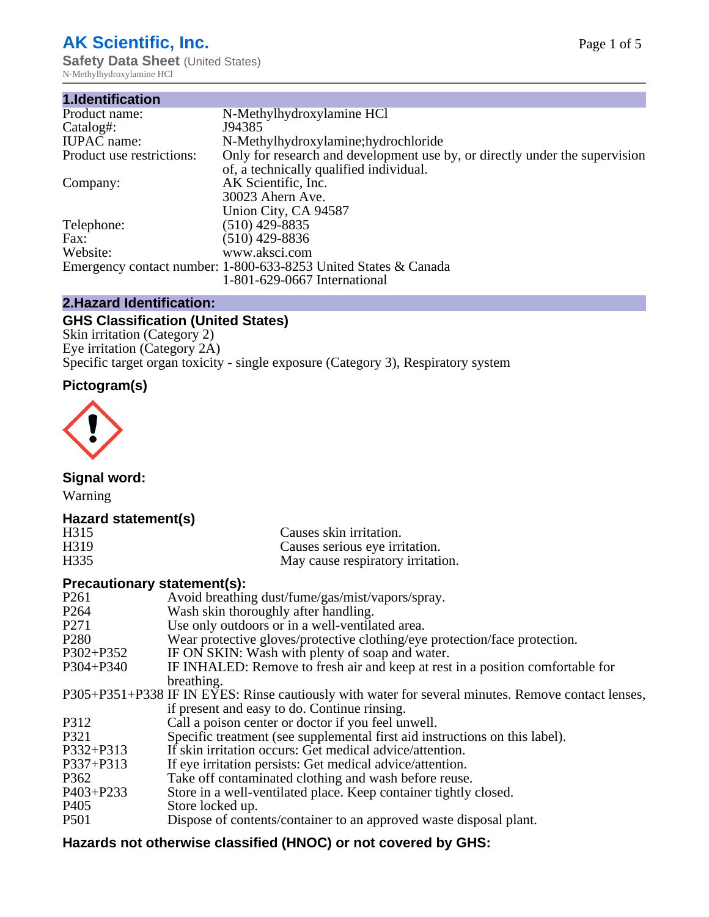# **AK Scientific, Inc.**

**Safety Data Sheet (United States)** N-Methylhydroxylamine HCl

| 1.Identification          |                                                                             |
|---------------------------|-----------------------------------------------------------------------------|
| Product name:             | N-Methylhydroxylamine HCl                                                   |
| Catalog#:                 | J94385                                                                      |
| <b>IUPAC</b> name:        | N-Methylhydroxylamine; hydrochloride                                        |
| Product use restrictions: | Only for research and development use by, or directly under the supervision |
|                           | of, a technically qualified individual.                                     |
| Company:                  | AK Scientific, Inc.                                                         |
|                           | 30023 Ahern Ave.                                                            |
|                           | Union City, CA 94587                                                        |
| Telephone:                | $(510)$ 429-8835                                                            |
| Fax:                      | (510) 429-8836                                                              |
| Website:                  | www.aksci.com                                                               |
|                           | Emergency contact number: 1-800-633-8253 United States & Canada             |
|                           | 1-801-629-0667 International                                                |

# **2.Hazard Identification:**

# **GHS Classification (United States)**

Skin irritation (Category 2) Eye irritation (Category 2A) Specific target organ toxicity - single exposure (Category 3), Respiratory system

# **Pictogram(s)**



**Signal word:**

Warning

# **Hazard statement(s)**

| H315 | Causes skin irritation.           |
|------|-----------------------------------|
| H319 | Causes serious eye irritation.    |
| H335 | May cause respiratory irritation. |

#### **Precautionary statement(s):**

| P <sub>261</sub> | Avoid breathing dust/fume/gas/mist/vapors/spray.                                                   |
|------------------|----------------------------------------------------------------------------------------------------|
| P <sub>264</sub> | Wash skin thoroughly after handling.                                                               |
| P <sub>271</sub> | Use only outdoors or in a well-ventilated area.                                                    |
| P <sub>280</sub> | Wear protective gloves/protective clothing/eye protection/face protection.                         |
| P302+P352        | IF ON SKIN: Wash with plenty of soap and water.                                                    |
| $P304 + P340$    | IF INHALED: Remove to fresh air and keep at rest in a position comfortable for                     |
|                  | breathing.                                                                                         |
|                  | P305+P351+P338 IF IN EYES: Rinse cautiously with water for several minutes. Remove contact lenses, |
|                  | if present and easy to do. Continue rinsing.                                                       |
| P312             | Call a poison center or doctor if you feel unwell.                                                 |
| P321             | Specific treatment (see supplemental first aid instructions on this label).                        |
| P332+P313        | If skin irritation occurs: Get medical advice/attention.                                           |
| P337+P313        | If eye irritation persists: Get medical advice/attention.                                          |
| P362             | Take off contaminated clothing and wash before reuse.                                              |
| $P403 + P233$    | Store in a well-ventilated place. Keep container tightly closed.                                   |
| P <sub>405</sub> | Store locked up.                                                                                   |
| P <sub>501</sub> | Dispose of contents/container to an approved waste disposal plant.                                 |
|                  |                                                                                                    |

# **Hazards not otherwise classified (HNOC) or not covered by GHS:**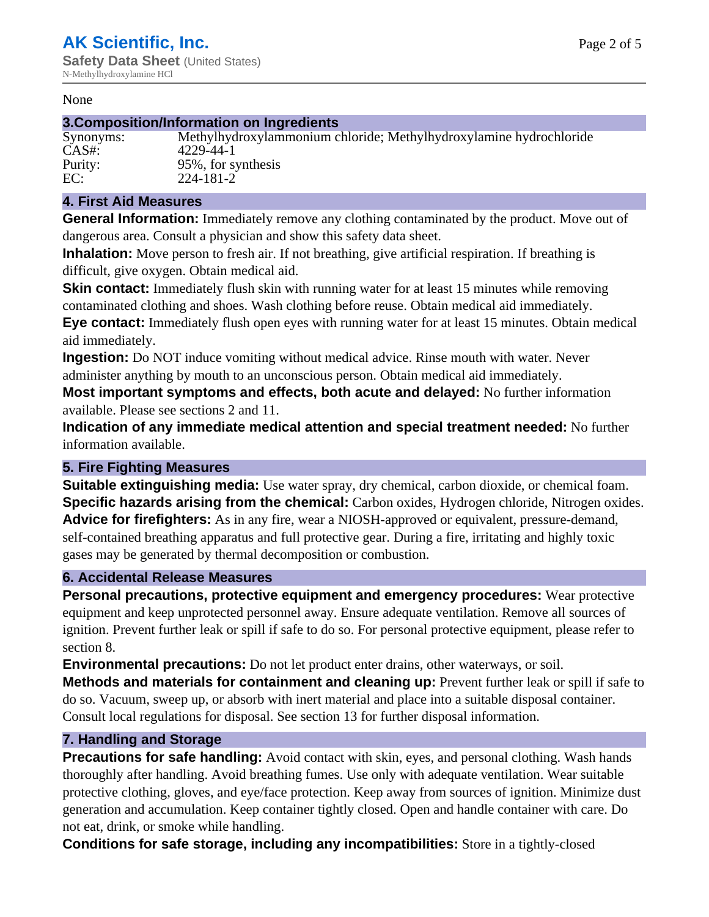#### None

#### **3.Composition/Information on Ingredients**

Synonyms: Methylhydroxylammonium chloride; Methylhydroxylamine hydrochloride CAS#: 4229-44-1 Purity: 95%, for synthesis<br>EC: 224-181-2 EC: 224-181-2

### **4. First Aid Measures**

**General Information:** Immediately remove any clothing contaminated by the product. Move out of dangerous area. Consult a physician and show this safety data sheet.

**Inhalation:** Move person to fresh air. If not breathing, give artificial respiration. If breathing is difficult, give oxygen. Obtain medical aid.

**Skin contact:** Immediately flush skin with running water for at least 15 minutes while removing contaminated clothing and shoes. Wash clothing before reuse. Obtain medical aid immediately. **Eye contact:** Immediately flush open eyes with running water for at least 15 minutes. Obtain medical aid immediately.

**Ingestion:** Do NOT induce vomiting without medical advice. Rinse mouth with water. Never administer anything by mouth to an unconscious person. Obtain medical aid immediately.

**Most important symptoms and effects, both acute and delayed:** No further information available. Please see sections 2 and 11.

**Indication of any immediate medical attention and special treatment needed:** No further information available.

#### **5. Fire Fighting Measures**

**Suitable extinguishing media:** Use water spray, dry chemical, carbon dioxide, or chemical foam. **Specific hazards arising from the chemical:** Carbon oxides, Hydrogen chloride, Nitrogen oxides. **Advice for firefighters:** As in any fire, wear a NIOSH-approved or equivalent, pressure-demand, self-contained breathing apparatus and full protective gear. During a fire, irritating and highly toxic gases may be generated by thermal decomposition or combustion.

#### **6. Accidental Release Measures**

**Personal precautions, protective equipment and emergency procedures:** Wear protective equipment and keep unprotected personnel away. Ensure adequate ventilation. Remove all sources of ignition. Prevent further leak or spill if safe to do so. For personal protective equipment, please refer to section 8.

**Environmental precautions:** Do not let product enter drains, other waterways, or soil.

**Methods and materials for containment and cleaning up:** Prevent further leak or spill if safe to do so. Vacuum, sweep up, or absorb with inert material and place into a suitable disposal container. Consult local regulations for disposal. See section 13 for further disposal information.

#### **7. Handling and Storage**

**Precautions for safe handling:** Avoid contact with skin, eyes, and personal clothing. Wash hands thoroughly after handling. Avoid breathing fumes. Use only with adequate ventilation. Wear suitable protective clothing, gloves, and eye/face protection. Keep away from sources of ignition. Minimize dust generation and accumulation. Keep container tightly closed. Open and handle container with care. Do not eat, drink, or smoke while handling.

**Conditions for safe storage, including any incompatibilities:** Store in a tightly-closed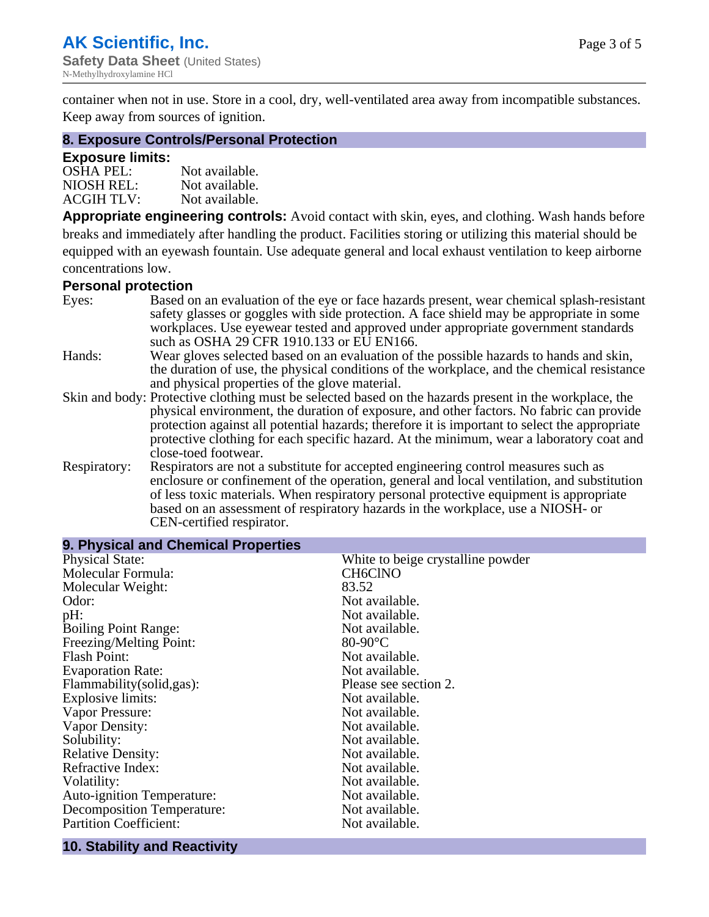container when not in use. Store in a cool, dry, well-ventilated area away from incompatible substances. Keep away from sources of ignition.

#### **8. Exposure Controls/Personal Protection**

#### **Exposure limits:**

| $OSHA$ PEL:       | Not available. |
|-------------------|----------------|
| NIOSH REL:        | Not available. |
| <b>ACGIH TLV:</b> | Not available. |

**Appropriate engineering controls:** Avoid contact with skin, eyes, and clothing. Wash hands before breaks and immediately after handling the product. Facilities storing or utilizing this material should be equipped with an eyewash fountain. Use adequate general and local exhaust ventilation to keep airborne concentrations low.

#### **Personal protection**

| Eyes:        | Based on an evaluation of the eye or face hazards present, wear chemical splash-resistant<br>safety glasses or goggles with side protection. A face shield may be appropriate in some                                                                                                                                                                                                                                   |
|--------------|-------------------------------------------------------------------------------------------------------------------------------------------------------------------------------------------------------------------------------------------------------------------------------------------------------------------------------------------------------------------------------------------------------------------------|
|              | workplaces. Use eyewear tested and approved under appropriate government standards<br>such as OSHA 29 CFR 1910.133 or EU EN166.                                                                                                                                                                                                                                                                                         |
| Hands:       | Wear gloves selected based on an evaluation of the possible hazards to hands and skin,                                                                                                                                                                                                                                                                                                                                  |
|              | the duration of use, the physical conditions of the workplace, and the chemical resistance<br>and physical properties of the glove material.                                                                                                                                                                                                                                                                            |
|              | Skin and body: Protective clothing must be selected based on the hazards present in the workplace, the<br>physical environment, the duration of exposure, and other factors. No fabric can provide<br>protection against all potential hazards; therefore it is important to select the appropriate<br>protective clothing for each specific hazard. At the minimum, wear a laboratory coat and<br>close-toed footwear. |
| Respiratory: | Respirators are not a substitute for accepted engineering control measures such as<br>enclosure or confinement of the operation, general and local ventilation, and substitution<br>of less toxic materials. When respiratory personal protective equipment is appropriate<br>based on an assessment of respiratory hazards in the workplace, use a NIOSH- or<br>CEN-certified respirator.                              |

| 9. Physical and Chemical Properties |                                   |  |  |
|-------------------------------------|-----------------------------------|--|--|
| <b>Physical State:</b>              | White to beige crystalline powder |  |  |
| Molecular Formula:                  | <b>CH6CINO</b>                    |  |  |
| Molecular Weight:                   | 83.52                             |  |  |
| Odor:                               | Not available.                    |  |  |
| pH:                                 | Not available.                    |  |  |
| <b>Boiling Point Range:</b>         | Not available.                    |  |  |
| Freezing/Melting Point:             | $80-90$ °C                        |  |  |
| Flash Point:                        | Not available.                    |  |  |
| <b>Evaporation Rate:</b>            | Not available.                    |  |  |
| Flammability(solid,gas):            | Please see section 2.             |  |  |
| Explosive limits:                   | Not available.                    |  |  |
| Vapor Pressure:                     | Not available.                    |  |  |
| Vapor Density:                      | Not available.                    |  |  |
| Solubility:                         | Not available.                    |  |  |
| <b>Relative Density:</b>            | Not available.                    |  |  |
| Refractive Index:                   | Not available.                    |  |  |
| Volatility:                         | Not available.                    |  |  |
| <b>Auto-ignition Temperature:</b>   | Not available.                    |  |  |
| Decomposition Temperature:          | Not available.                    |  |  |
| <b>Partition Coefficient:</b>       | Not available.                    |  |  |

#### **10. Stability and Reactivity**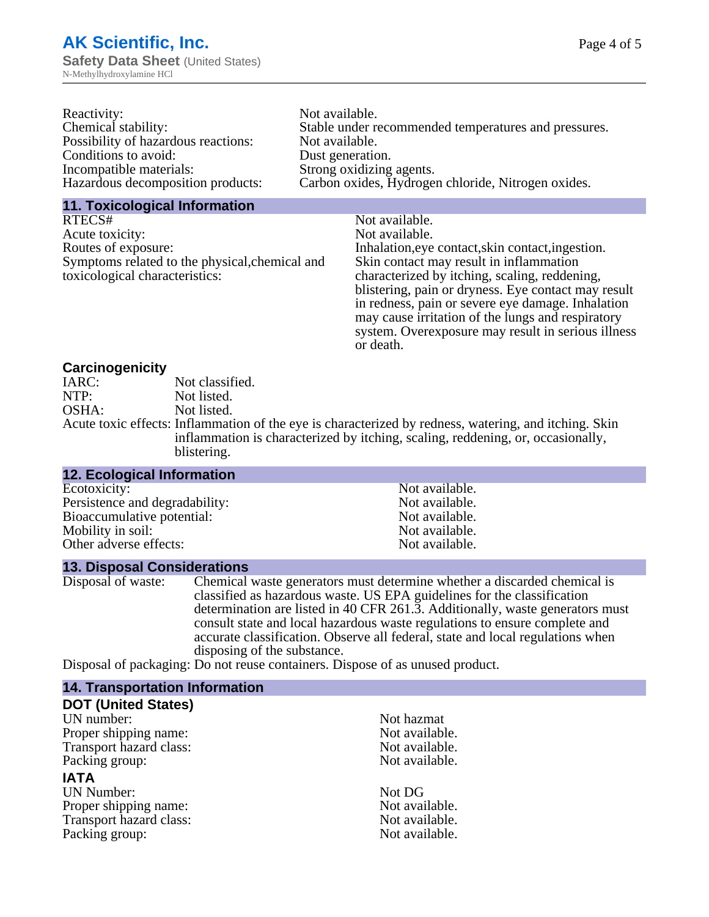| Reactivity:                         | Not available.                                       |
|-------------------------------------|------------------------------------------------------|
| Chemical stability:                 | Stable under recommended temperatures and pressures. |
| Possibility of hazardous reactions: | Not available.                                       |
| Conditions to avoid:                | Dust generation.                                     |
| Incompatible materials:             | Strong oxidizing agents.                             |
| Hazardous decomposition products:   | Carbon oxides, Hydrogen chloride, Nitrogen oxides.   |

#### **11. Toxicological Information**

| RTECS#                                         | Not available.                                      |
|------------------------------------------------|-----------------------------------------------------|
| Acute toxicity:                                | Not available.                                      |
| Routes of exposure:                            | Inhalation, eye contact, skin contact, ingestion.   |
| Symptoms related to the physical, chemical and | Skin contact may result in inflammation             |
| toxicological characteristics:                 | characterized by itching, scaling, reddening,       |
|                                                | blistering, pain or dryness. Eye contact may result |
|                                                | in redness, pain or severe eye damage. Inhalation   |
|                                                | may cause irritation of the lungs and respiratory   |
|                                                | system. Overexposure may result in serious illness  |

or death.

#### **Carcinogenicity**

| IARC: | Not classified.                                                                                       |
|-------|-------------------------------------------------------------------------------------------------------|
| NTP:  | Not listed.                                                                                           |
| OSHA: | Not listed.                                                                                           |
|       | Acute toxic effects: Inflammation of the eye is characterized by redness, watering, and itching. Skin |
|       | inflammation is characterized by itching, scaling, reddening, or, occasionally,                       |
|       | blistering.                                                                                           |

| <b>12. Ecological Information</b> |                |
|-----------------------------------|----------------|
| Ecotoxicity:                      | Not available. |
| Persistence and degradability:    | Not available. |
| Bioaccumulative potential:        | Not available. |
| Mobility in soil:                 | Not available. |
| Other adverse effects:            | Not available. |

#### **13. Disposal Considerations**

Disposal of waste: Chemical waste generators must determine whether a discarded chemical is classified as hazardous waste. US EPA guidelines for the classification determination are listed in 40 CFR 261.3. Additionally, waste generators must consult state and local hazardous waste regulations to ensure complete and accurate classification. Observe all federal, state and local regulations when disposing of the substance.

Disposal of packaging: Do not reuse containers. Dispose of as unused product.

| <b>14. Transportation Information</b> |                |
|---------------------------------------|----------------|
| <b>DOT (United States)</b>            |                |
| UN number:                            | Not hazmat     |
| Proper shipping name:                 | Not available. |
| Transport hazard class:               | Not available. |
| Packing group:                        | Not available. |
| <b>IATA</b>                           |                |
| <b>UN Number:</b>                     | Not DG         |
| Proper shipping name:                 | Not available. |
| Transport hazard class:               | Not available. |
| Packing group:                        | Not available. |